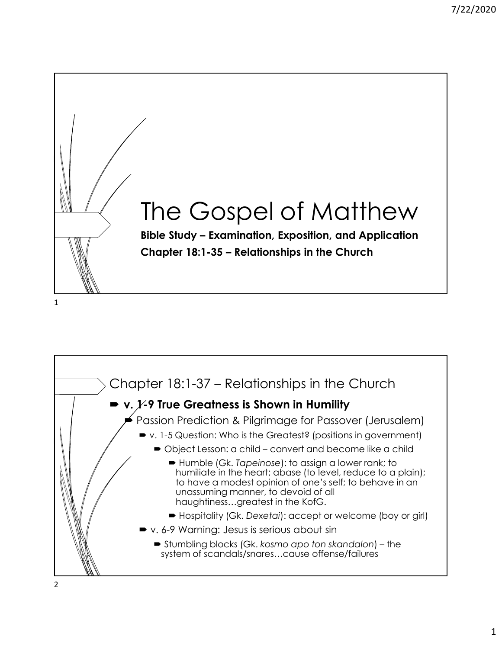